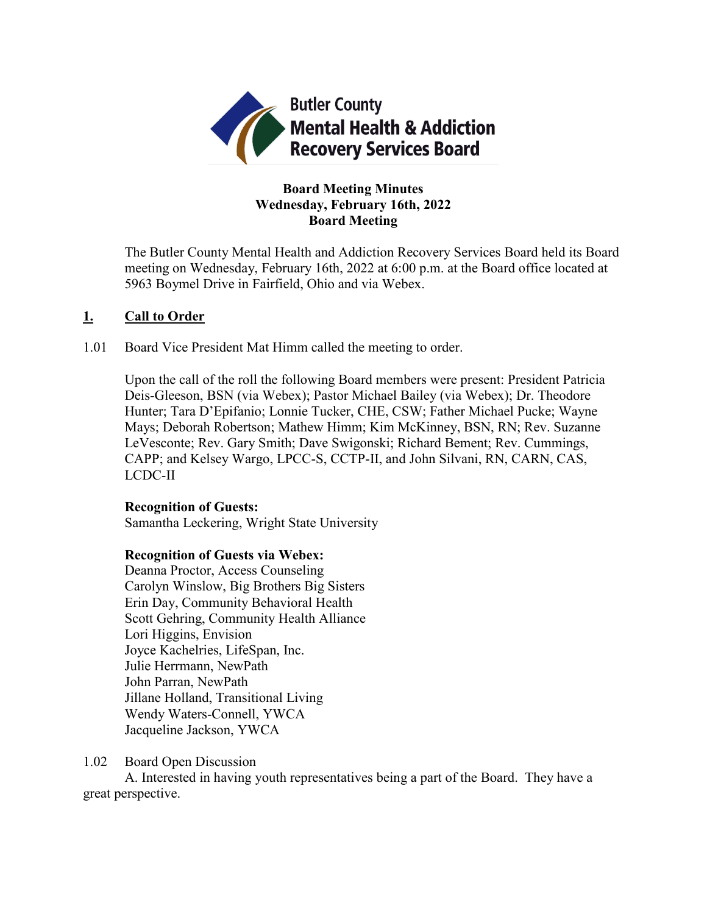

# **Board Meeting Minutes Wednesday, February 16th, 2022 Board Meeting**

The Butler County Mental Health and Addiction Recovery Services Board held its Board meeting on Wednesday, February 16th, 2022 at 6:00 p.m. at the Board office located at 5963 Boymel Drive in Fairfield, Ohio and via Webex.

## **1. Call to Order**

1.01 Board Vice President Mat Himm called the meeting to order.

Upon the call of the roll the following Board members were present: President Patricia Deis-Gleeson, BSN (via Webex); Pastor Michael Bailey (via Webex); Dr. Theodore Hunter; Tara D'Epifanio; Lonnie Tucker, CHE, CSW; Father Michael Pucke; Wayne Mays; Deborah Robertson; Mathew Himm; Kim McKinney, BSN, RN; Rev. Suzanne LeVesconte; Rev. Gary Smith; Dave Swigonski; Richard Bement; Rev. Cummings, CAPP; and Kelsey Wargo, LPCC-S, CCTP-II, and John Silvani, RN, CARN, CAS, LCDC-II

#### **Recognition of Guests:**

Samantha Leckering, Wright State University

#### **Recognition of Guests via Webex:**

Deanna Proctor, Access Counseling Carolyn Winslow, Big Brothers Big Sisters Erin Day, Community Behavioral Health Scott Gehring, Community Health Alliance Lori Higgins, Envision Joyce Kachelries, LifeSpan, Inc. Julie Herrmann, NewPath John Parran, NewPath Jillane Holland, Transitional Living Wendy Waters-Connell, YWCA Jacqueline Jackson, YWCA

#### 1.02 Board Open Discussion

A. Interested in having youth representatives being a part of the Board. They have a great perspective.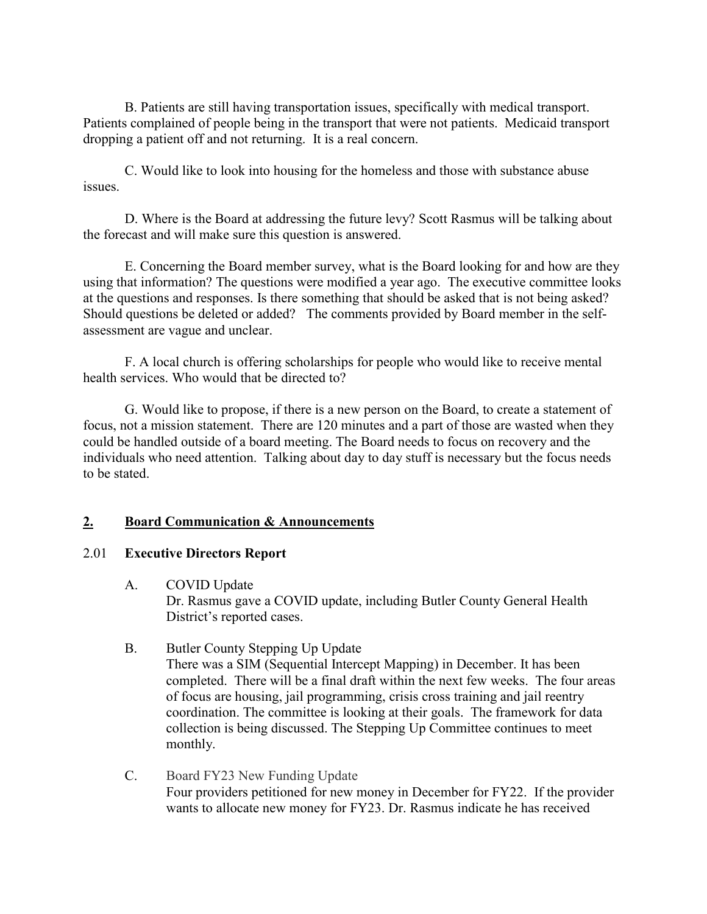B. Patients are still having transportation issues, specifically with medical transport. Patients complained of people being in the transport that were not patients. Medicaid transport dropping a patient off and not returning. It is a real concern.

C. Would like to look into housing for the homeless and those with substance abuse issues.

D. Where is the Board at addressing the future levy? Scott Rasmus will be talking about the forecast and will make sure this question is answered.

E. Concerning the Board member survey, what is the Board looking for and how are they using that information? The questions were modified a year ago. The executive committee looks at the questions and responses. Is there something that should be asked that is not being asked? Should questions be deleted or added? The comments provided by Board member in the selfassessment are vague and unclear.

F. A local church is offering scholarships for people who would like to receive mental health services. Who would that be directed to?

G. Would like to propose, if there is a new person on the Board, to create a statement of focus, not a mission statement. There are 120 minutes and a part of those are wasted when they could be handled outside of a board meeting. The Board needs to focus on recovery and the individuals who need attention. Talking about day to day stuff is necessary but the focus needs to be stated.

## **2. Board Communication & Announcements**

#### 2.01 **Executive Directors Report**

A. COVID Update

Dr. Rasmus gave a COVID update, including Butler County General Health District's reported cases.

B. Butler County Stepping Up Update

There was a SIM (Sequential Intercept Mapping) in December. It has been completed. There will be a final draft within the next few weeks. The four areas of focus are housing, jail programming, crisis cross training and jail reentry coordination. The committee is looking at their goals. The framework for data collection is being discussed. The Stepping Up Committee continues to meet monthly.

C. Board FY23 New Funding Update Four providers petitioned for new money in December for FY22. If the provider wants to allocate new money for FY23. Dr. Rasmus indicate he has received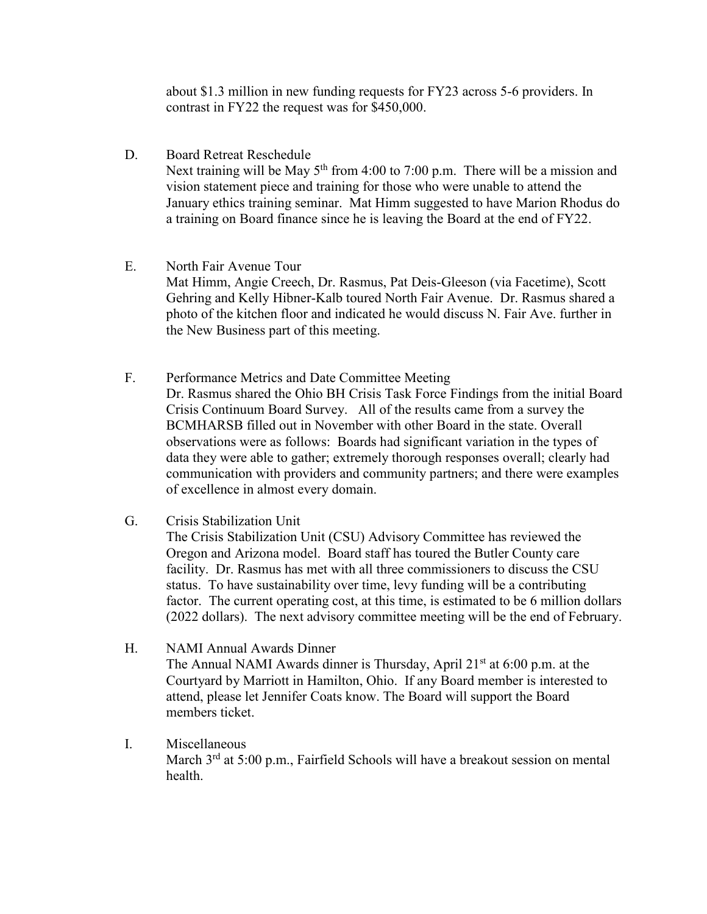about \$1.3 million in new funding requests for FY23 across 5-6 providers. In contrast in FY22 the request was for \$450,000.

D. Board Retreat Reschedule

Next training will be May  $5<sup>th</sup>$  from 4:00 to 7:00 p.m. There will be a mission and vision statement piece and training for those who were unable to attend the January ethics training seminar. Mat Himm suggested to have Marion Rhodus do a training on Board finance since he is leaving the Board at the end of FY22.

- E. North Fair Avenue Tour Mat Himm, Angie Creech, Dr. Rasmus, Pat Deis-Gleeson (via Facetime), Scott Gehring and Kelly Hibner-Kalb toured North Fair Avenue. Dr. Rasmus shared a photo of the kitchen floor and indicated he would discuss N. Fair Ave. further in the New Business part of this meeting.
	- F. Performance Metrics and Date Committee Meeting Dr. Rasmus shared the Ohio BH Crisis Task Force Findings from the initial Board Crisis Continuum Board Survey. All of the results came from a survey the BCMHARSB filled out in November with other Board in the state. Overall observations were as follows: Boards had significant variation in the types of data they were able to gather; extremely thorough responses overall; clearly had communication with providers and community partners; and there were examples of excellence in almost every domain.
	- G. Crisis Stabilization Unit The Crisis Stabilization Unit (CSU) Advisory Committee has reviewed the Oregon and Arizona model. Board staff has toured the Butler County care facility. Dr. Rasmus has met with all three commissioners to discuss the CSU status. To have sustainability over time, levy funding will be a contributing factor. The current operating cost, at this time, is estimated to be 6 million dollars (2022 dollars). The next advisory committee meeting will be the end of February.
	- H. NAMI Annual Awards Dinner The Annual NAMI Awards dinner is Thursday, April  $21<sup>st</sup>$  at 6:00 p.m. at the Courtyard by Marriott in Hamilton, Ohio. If any Board member is interested to attend, please let Jennifer Coats know. The Board will support the Board members ticket.
	- I. Miscellaneous March 3<sup>rd</sup> at 5:00 p.m., Fairfield Schools will have a breakout session on mental health.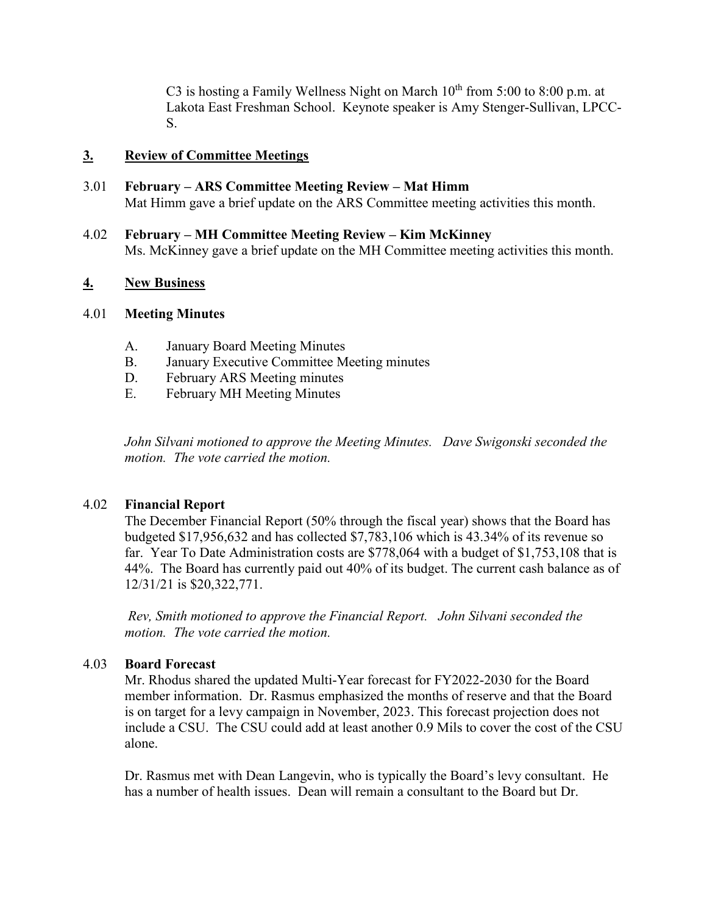C3 is hosting a Family Wellness Night on March  $10^{th}$  from 5:00 to 8:00 p.m. at Lakota East Freshman School. Keynote speaker is Amy Stenger-Sullivan, LPCC-S.

## **3. Review of Committee Meetings**

- 3.01 **February – ARS Committee Meeting Review – Mat Himm** Mat Himm gave a brief update on the ARS Committee meeting activities this month.
- 4.02 **February – MH Committee Meeting Review – Kim McKinney** Ms. McKinney gave a brief update on the MH Committee meeting activities this month.

## **4. New Business**

#### 4.01 **Meeting Minutes**

- A. January Board Meeting Minutes
- B. January Executive Committee Meeting minutes
- D. February ARS Meeting minutes
- E. February MH Meeting Minutes

*John Silvani motioned to approve the Meeting Minutes. Dave Swigonski seconded the motion. The vote carried the motion.*

#### 4.02 **Financial Report**

The December Financial Report (50% through the fiscal year) shows that the Board has budgeted \$17,956,632 and has collected \$7,783,106 which is 43.34% of its revenue so far. Year To Date Administration costs are \$778,064 with a budget of \$1,753,108 that is 44%. The Board has currently paid out 40% of its budget. The current cash balance as of 12/31/21 is \$20,322,771.

*Rev, Smith motioned to approve the Financial Report. John Silvani seconded the motion. The vote carried the motion.*

#### 4.03 **Board Forecast**

Mr. Rhodus shared the updated Multi-Year forecast for FY2022-2030 for the Board member information. Dr. Rasmus emphasized the months of reserve and that the Board is on target for a levy campaign in November, 2023. This forecast projection does not include a CSU. The CSU could add at least another 0.9 Mils to cover the cost of the CSU alone.

Dr. Rasmus met with Dean Langevin, who is typically the Board's levy consultant. He has a number of health issues. Dean will remain a consultant to the Board but Dr.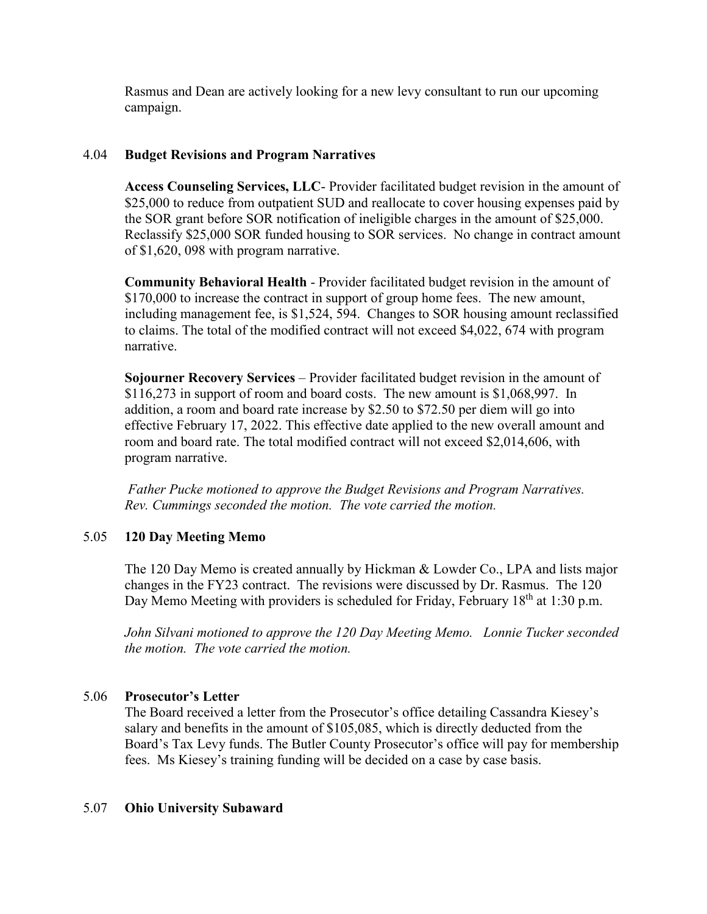Rasmus and Dean are actively looking for a new levy consultant to run our upcoming campaign.

## 4.04 **Budget Revisions and Program Narratives**

**Access Counseling Services, LLC**- Provider facilitated budget revision in the amount of \$25,000 to reduce from outpatient SUD and reallocate to cover housing expenses paid by the SOR grant before SOR notification of ineligible charges in the amount of \$25,000. Reclassify \$25,000 SOR funded housing to SOR services. No change in contract amount of \$1,620, 098 with program narrative.

**Community Behavioral Health** - Provider facilitated budget revision in the amount of \$170,000 to increase the contract in support of group home fees. The new amount, including management fee, is \$1,524, 594. Changes to SOR housing amount reclassified to claims. The total of the modified contract will not exceed \$4,022, 674 with program narrative.

**Sojourner Recovery Services** – Provider facilitated budget revision in the amount of \$116,273 in support of room and board costs. The new amount is \$1,068,997. In addition, a room and board rate increase by \$2.50 to \$72.50 per diem will go into effective February 17, 2022. This effective date applied to the new overall amount and room and board rate. The total modified contract will not exceed \$2,014,606, with program narrative.

*Father Pucke motioned to approve the Budget Revisions and Program Narratives. Rev. Cummings seconded the motion. The vote carried the motion.*

#### 5.05 **120 Day Meeting Memo**

The 120 Day Memo is created annually by Hickman & Lowder Co., LPA and lists major changes in the FY23 contract. The revisions were discussed by Dr. Rasmus. The 120 Day Memo Meeting with providers is scheduled for Friday, February  $18<sup>th</sup>$  at 1:30 p.m.

*John Silvani motioned to approve the 120 Day Meeting Memo. Lonnie Tucker seconded the motion. The vote carried the motion.*

#### 5.06 **Prosecutor's Letter**

The Board received a letter from the Prosecutor's office detailing Cassandra Kiesey's salary and benefits in the amount of \$105,085, which is directly deducted from the Board's Tax Levy funds. The Butler County Prosecutor's office will pay for membership fees. Ms Kiesey's training funding will be decided on a case by case basis.

#### 5.07 **Ohio University Subaward**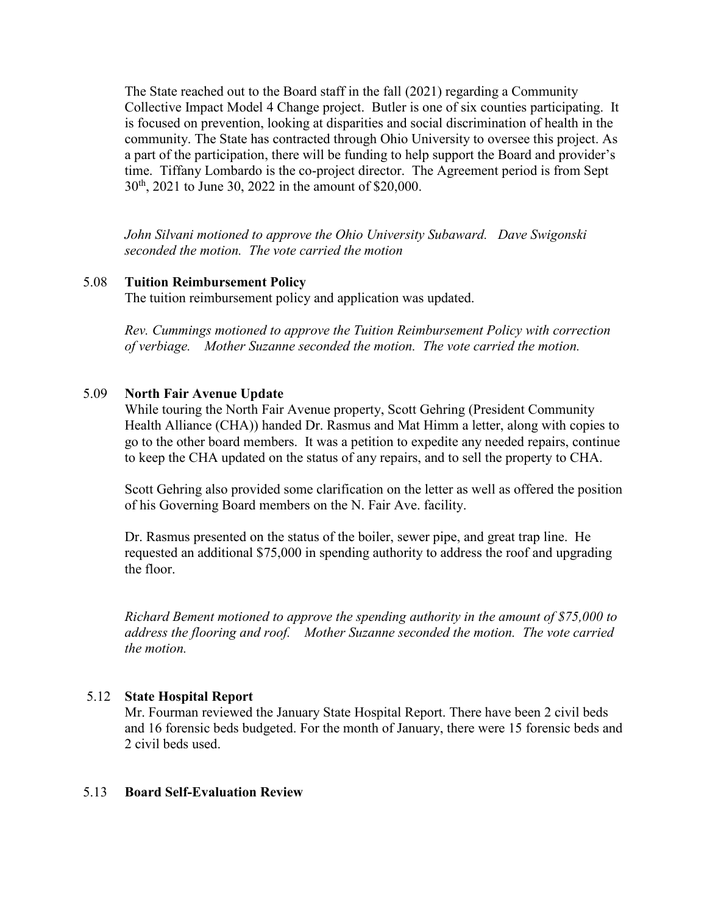The State reached out to the Board staff in the fall (2021) regarding a Community Collective Impact Model 4 Change project. Butler is one of six counties participating. It is focused on prevention, looking at disparities and social discrimination of health in the community. The State has contracted through Ohio University to oversee this project. As a part of the participation, there will be funding to help support the Board and provider's time. Tiffany Lombardo is the co-project director. The Agreement period is from Sept 30th, 2021 to June 30, 2022 in the amount of \$20,000.

*John Silvani motioned to approve the Ohio University Subaward. Dave Swigonski seconded the motion. The vote carried the motion*

## 5.08 **Tuition Reimbursement Policy**

The tuition reimbursement policy and application was updated.

*Rev. Cummings motioned to approve the Tuition Reimbursement Policy with correction of verbiage. Mother Suzanne seconded the motion. The vote carried the motion.*

#### 5.09 **North Fair Avenue Update**

While touring the North Fair Avenue property, Scott Gehring (President Community Health Alliance (CHA)) handed Dr. Rasmus and Mat Himm a letter, along with copies to go to the other board members. It was a petition to expedite any needed repairs, continue to keep the CHA updated on the status of any repairs, and to sell the property to CHA.

Scott Gehring also provided some clarification on the letter as well as offered the position of his Governing Board members on the N. Fair Ave. facility.

Dr. Rasmus presented on the status of the boiler, sewer pipe, and great trap line. He requested an additional \$75,000 in spending authority to address the roof and upgrading the floor.

*Richard Bement motioned to approve the spending authority in the amount of \$75,000 to address the flooring and roof. Mother Suzanne seconded the motion. The vote carried the motion.*

#### 5.12 **State Hospital Report**

Mr. Fourman reviewed the January State Hospital Report. There have been 2 civil beds and 16 forensic beds budgeted. For the month of January, there were 15 forensic beds and 2 civil beds used.

#### 5.13 **Board Self-Evaluation Review**